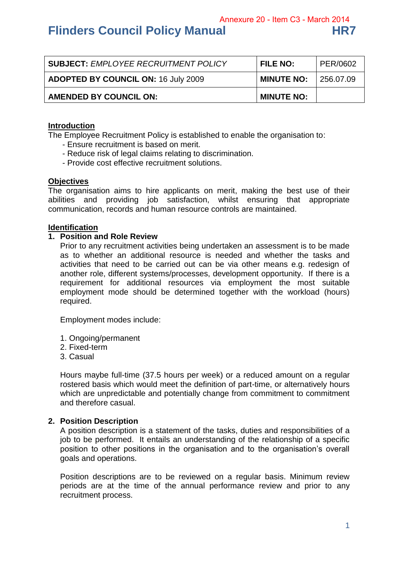# **Flinders Council Policy Manual**

|  |  | HR7 |
|--|--|-----|
|  |  |     |
|  |  |     |

| <b>SUBJECT: EMPLOYEE RECRUITMENT POLICY</b> | <b>FILE NO:</b>   | PER/0602  |
|---------------------------------------------|-------------------|-----------|
| <b>ADOPTED BY COUNCIL ON: 16 July 2009</b>  | <b>MINUTE NO:</b> | 256.07.09 |
| <b>AMENDED BY COUNCIL ON:</b>               | <b>MINUTE NO:</b> |           |

#### **Introduction**

The Employee Recruitment Policy is established to enable the organisation to:

- Ensure recruitment is based on merit.
- Reduce risk of legal claims relating to discrimination.
- Provide cost effective recruitment solutions.

#### **Objectives**

The organisation aims to hire applicants on merit, making the best use of their abilities and providing job satisfaction, whilst ensuring that appropriate communication, records and human resource controls are maintained.

#### **Identification**

#### **1. Position and Role Review**

Prior to any recruitment activities being undertaken an assessment is to be made as to whether an additional resource is needed and whether the tasks and activities that need to be carried out can be via other means e.g. redesign of another role, different systems/processes, development opportunity. If there is a requirement for additional resources via employment the most suitable employment mode should be determined together with the workload (hours) required.

Employment modes include:

- 1. Ongoing/permanent
- 2. Fixed-term
- 3. Casual

Hours maybe full-time (37.5 hours per week) or a reduced amount on a regular rostered basis which would meet the definition of part-time, or alternatively hours which are unpredictable and potentially change from commitment to commitment and therefore casual.

#### **2. Position Description**

A position description is a statement of the tasks, duties and responsibilities of a job to be performed. It entails an understanding of the relationship of a specific position to other positions in the organisation and to the organisation's overall goals and operations.

Position descriptions are to be reviewed on a regular basis. Minimum review periods are at the time of the annual performance review and prior to any recruitment process.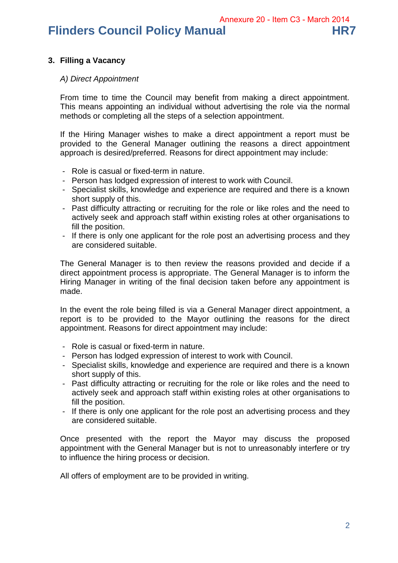## **Flinders Council Policy Manual HR7**

#### **3. Filling a Vacancy**

#### *A) Direct Appointment*

From time to time the Council may benefit from making a direct appointment. This means appointing an individual without advertising the role via the normal methods or completing all the steps of a selection appointment.

If the Hiring Manager wishes to make a direct appointment a report must be provided to the General Manager outlining the reasons a direct appointment approach is desired/preferred. Reasons for direct appointment may include:

- Role is casual or fixed-term in nature.
- Person has lodged expression of interest to work with Council.
- Specialist skills, knowledge and experience are required and there is a known short supply of this.
- Past difficulty attracting or recruiting for the role or like roles and the need to actively seek and approach staff within existing roles at other organisations to fill the position.
- If there is only one applicant for the role post an advertising process and they are considered suitable.

The General Manager is to then review the reasons provided and decide if a direct appointment process is appropriate. The General Manager is to inform the Hiring Manager in writing of the final decision taken before any appointment is made.

In the event the role being filled is via a General Manager direct appointment, a report is to be provided to the Mayor outlining the reasons for the direct appointment. Reasons for direct appointment may include:

- Role is casual or fixed-term in nature.
- Person has lodged expression of interest to work with Council.
- Specialist skills, knowledge and experience are required and there is a known short supply of this.
- Past difficulty attracting or recruiting for the role or like roles and the need to actively seek and approach staff within existing roles at other organisations to fill the position.
- If there is only one applicant for the role post an advertising process and they are considered suitable.

Once presented with the report the Mayor may discuss the proposed appointment with the General Manager but is not to unreasonably interfere or try to influence the hiring process or decision.

All offers of employment are to be provided in writing.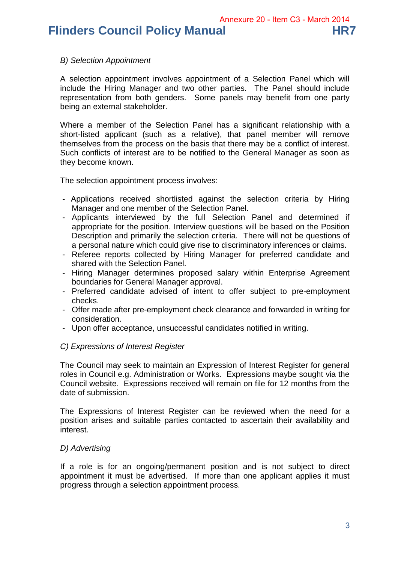**Flinders Council Policy Manual HR7** 

#### *B) Selection Appointment*

A selection appointment involves appointment of a Selection Panel which will include the Hiring Manager and two other parties. The Panel should include representation from both genders. Some panels may benefit from one party being an external stakeholder.

Where a member of the Selection Panel has a significant relationship with a short-listed applicant (such as a relative), that panel member will remove themselves from the process on the basis that there may be a conflict of interest. Such conflicts of interest are to be notified to the General Manager as soon as they become known.

The selection appointment process involves:

- Applications received shortlisted against the selection criteria by Hiring Manager and one member of the Selection Panel.
- Applicants interviewed by the full Selection Panel and determined if appropriate for the position. Interview questions will be based on the Position Description and primarily the selection criteria. There will not be questions of a personal nature which could give rise to discriminatory inferences or claims.
- Referee reports collected by Hiring Manager for preferred candidate and shared with the Selection Panel.
- Hiring Manager determines proposed salary within Enterprise Agreement boundaries for General Manager approval.
- Preferred candidate advised of intent to offer subject to pre-employment checks.
- Offer made after pre-employment check clearance and forwarded in writing for consideration.
- Upon offer acceptance, unsuccessful candidates notified in writing.

#### *C) Expressions of Interest Register*

The Council may seek to maintain an Expression of Interest Register for general roles in Council e.g. Administration or Works. Expressions maybe sought via the Council website. Expressions received will remain on file for 12 months from the date of submission.

The Expressions of Interest Register can be reviewed when the need for a position arises and suitable parties contacted to ascertain their availability and interest.

#### *D) Advertising*

If a role is for an ongoing/permanent position and is not subject to direct appointment it must be advertised. If more than one applicant applies it must progress through a selection appointment process.